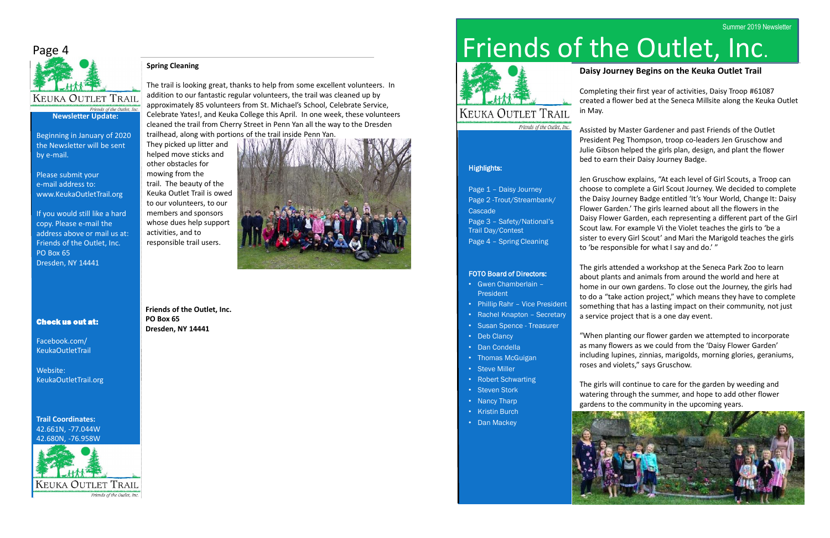# Friends of the Outlet, Inc.



# **KEUKA OUTLET TRAIL**

Friends of the Outlet, Inc.

# Highlights:

Page 1 – Daisy Journey Page 2 -Trout/Streambank/ Cascade Page 3 – Safety/National's Trail Day/Contest Page 4 – Spring Cleaning

#### FOTO Board of Directors:

- Gwen Chamberlain **President**
- Phillip Rahr Vice President
- Rachel Knapton Secretary
- Susan Spence Treasurer
- Deb Clancy
- Dan Condella
- Thomas McGuigan
- Steve Miller
- Robert Schwarting
- Steven Stork
- Nancy Tharp
- Kristin Burch
- Dan Mackey



# **Daisy Journey Begins on the Keuka Outlet Trail**

Completing their first year of activities, Daisy Troop #61087 created a flower bed at the Seneca Millsite along the Keuka Outlet

in May.

Assisted by Master Gardener and past Friends of the Outlet President Peg Thompson, troop co-leaders Jen Gruschow and Julie Gibson helped the girls plan, design, and plant the flower bed to earn their Daisy Journey Badge.

Jen Gruschow explains, "At each level of Girl Scouts, a Troop can choose to complete a Girl Scout Journey. We decided to complete the Daisy Journey Badge entitled 'It's Your World, Change It: Daisy Flower Garden.' The girls learned about all the flowers in the Daisy Flower Garden, each representing a different part of the Girl Scout law. For example Vi the Violet teaches the girls to 'be a sister to every Girl Scout' and Mari the Marigold teaches the girls to 'be responsible for what I say and do.' "

The girls attended a workshop at the Seneca Park Zoo to learn about plants and animals from around the world and here at home in our own gardens. To close out the Journey, the girls had to do a "take action project," which means they have to complete something that has a lasting impact on their community, not just a service project that is a one day event.

"When planting our flower garden we attempted to incorporate as many flowers as we could from the 'Daisy Flower Garden' including lupines, zinnias, marigolds, morning glories, geraniums, roses and violets," says Gruschow.

The girls will continue to care for the garden by weeding and watering through the summer, and hope to add other flower gardens to the community in the upcoming years.



# Page 4



Beginning in January of 2020

the Newsletter will be sent by e-mail.

Please submit your e-mail address to: www.KeukaOutletTrail.org

If you would still like a hard copy. Please e-mail the address above or mail us at: Friends of the Outlet, Inc. PO Box 65 Dresden, NY 14441

# Check us out at:

Facebook.com/ KeukaOutletTrail

Website: KeukaOutletTrail.org

**Trail Coordinates:** 42.661N, -77.044W 42.680N, -76.958W



**Friends of the Outlet, Inc. PO Box 65 Dresden, NY 14441**



# **Spring Cleaning**

The trail is looking great, thanks to help from some excellent volunteers. In addition to our fantastic regular volunteers, the trail was cleaned up by approximately 85 volunteers from St. Michael's School, Celebrate Service, Celebrate Yates!, and Keuka College this April. In one week, these volunteers cleaned the trail from Cherry Street in Penn Yan all the way to the Dresden trailhead, along with portions of the trail inside Penn Yan.

They picked up litter and helped move sticks and other obstacles for mowing from the trail. The beauty of the Keuka Outlet Trail is owed to our volunteers, to our members and sponsors whose dues help support activities, and to responsible trail users.